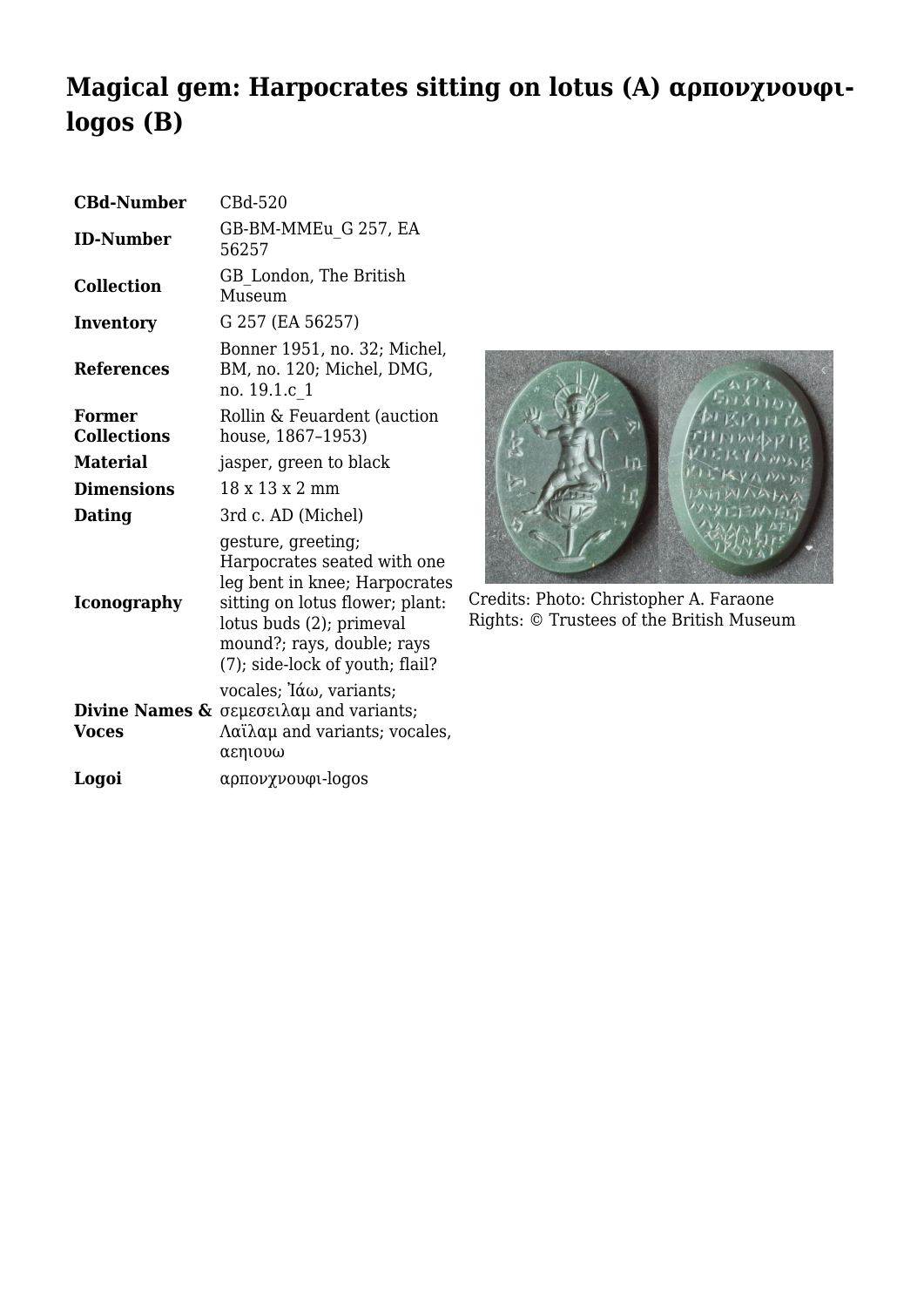## **Magical gem: Harpocrates sitting on lotus (A) αρπονχνουφιlogos (B)**

| <b>CBd-Number</b>            | CBd-520                                                                                                                                                                                                            |
|------------------------------|--------------------------------------------------------------------------------------------------------------------------------------------------------------------------------------------------------------------|
| <b>ID-Number</b>             | GB-BM-MMEu G 257, EA<br>56257                                                                                                                                                                                      |
| <b>Collection</b>            | GB London, The British<br>Museum                                                                                                                                                                                   |
| <b>Inventory</b>             | G 257 (EA 56257)                                                                                                                                                                                                   |
| <b>References</b>            | Bonner 1951, no. 32; Michel,<br>BM, no. 120; Michel, DMG,<br>no. 19.1.c 1                                                                                                                                          |
| Former<br><b>Collections</b> | Rollin & Feuardent (auction<br>house, 1867-1953)                                                                                                                                                                   |
| <b>Material</b>              | jasper, green to black                                                                                                                                                                                             |
| <b>Dimensions</b>            | 18 x 13 x 2 mm                                                                                                                                                                                                     |
| Dating                       | 3rd c. AD (Michel)                                                                                                                                                                                                 |
| <b>Iconography</b>           | gesture, greeting;<br>Harpocrates seated with one<br>leg bent in knee; Harpocrates<br>sitting on lotus flower; plant:<br>lotus buds (2); primeval<br>mound?; rays, double; rays<br>(7); side-lock of youth; flail? |
| <b>Voces</b>                 | vocales; Ιάω, variants;<br><b>Divine Names &amp; <math>\sigma</math></b> $\epsilon$ $\mu$ $\epsilon$ $\alpha$ $\mu$ and variants;<br>$\Lambda$ αϊλαμ and variants; vocales,<br>αεηιουω                             |
| Logoi                        | αρπονχνουφι-logos                                                                                                                                                                                                  |



Credits: Photo: Christopher A. Faraone Rights: © Trustees of the British Museum